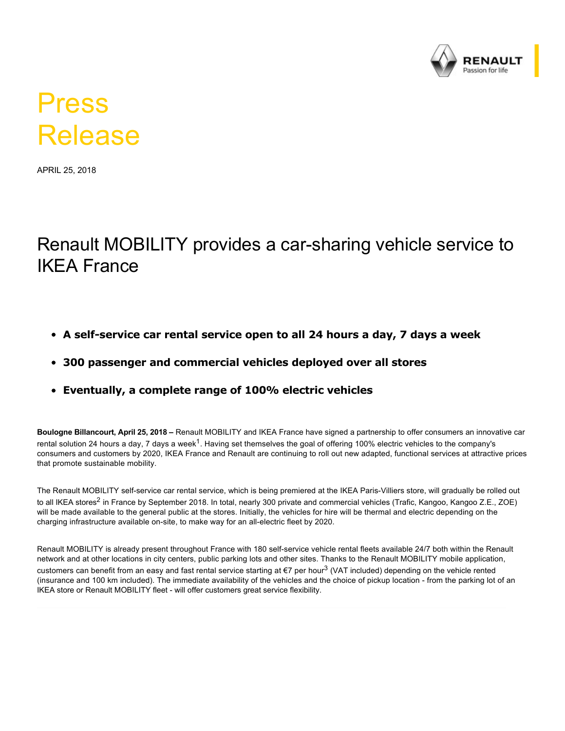

## Press Release

APRIL 25, 2018

## Renault MOBILITY provides a car-sharing vehicle service to IKEA France

- A self-service car rental service open to all 24 hours a day, 7 days a week
- **300 passenger and commercial vehicles deployed over all stores**
- **Eventually, a complete range of 100% electric vehicles**

**Boulogne Billancourt, April 25, 2018 –** Renault MOBILITY and IKEA France have signed a partnership to offer consumers an innovative car rental solution 24 hours a day, 7 days a week $^1$ . Having set themselves the goal of offering 100% electric vehicles to the company's consumers and customers by 2020, IKEA France and Renault are continuing to roll out new adapted, functional services at attractive prices that promote sustainable mobility.

The Renault MOBILITY self-service car rental service, which is being premiered at the IKEA Paris-Villiers store, will gradually be rolled out to all IKEA stores<sup>2</sup> in France by September 2018. In total, nearly 300 private and commercial vehicles (Trafic, Kangoo, Kangoo Z.E., ZOE) will be made available to the general public at the stores. Initially, the vehicles for hire will be thermal and electric depending on the charging infrastructure available on-site, to make way for an all-electric fleet by 2020.

Renault MOBILITY is already present throughout France with 180 self-service vehicle rental fleets available 24/7 both within the Renault network and at other locations in city centers, public parking lots and other sites. Thanks to the Renault MOBILITY mobile application, customers can benefit from an easy and fast rental service starting at €7 per hour<sup>3</sup> (VAT included) depending on the vehicle rented (insurance and 100 km included). The immediate availability of the vehicles and the choice of pickup location - from the parking lot of an IKEA store or Renault MOBILITY fleet - will offer customers great service flexibility.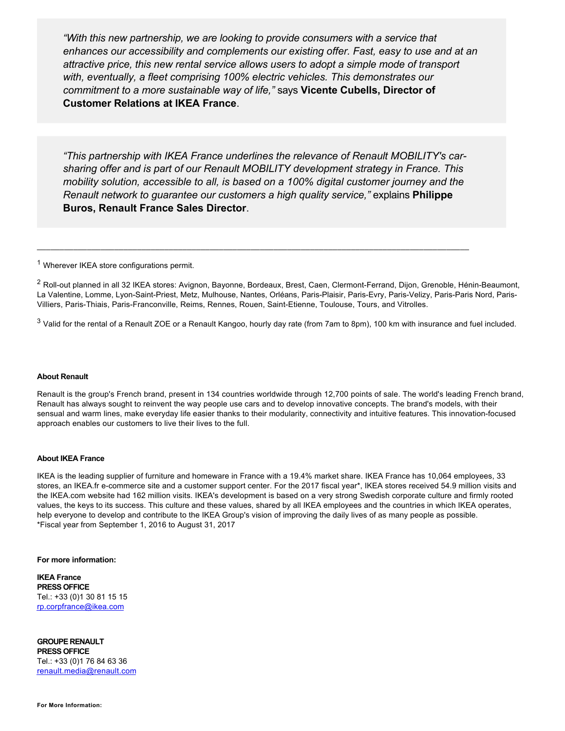*"With this new partnership, we are looking to provide consumers with a service that enhances our accessibility and complements our existing offer. Fast, easy to use and at an attractive price, this new rental service allows users to adopt a simple mode of transport with, eventually, a fleet comprising 100% electric vehicles. This demonstrates our commitment to a more sustainable way of life,"* says **Vicente Cubells, Director of Customer Relations at IKEA France**.

*"This partnership with IKEA France underlines the relevance of Renault MOBILITY's carsharing offer and is part of our Renault MOBILITY development strategy in France. This mobility solution, accessible to all, is based on a 100% digital customer journey and the Renault network to guarantee our customers a high quality service,"* explains **Philippe Buros, Renault France Sales Director**.

\_\_\_\_\_\_\_\_\_\_\_\_\_\_\_\_\_\_\_\_\_\_\_\_\_\_\_\_\_\_\_\_\_\_\_\_\_\_\_\_\_\_\_\_\_\_\_\_\_\_\_\_\_\_\_\_\_\_\_\_\_\_\_\_\_\_\_\_\_\_\_\_\_\_\_\_\_\_\_\_\_\_\_\_\_\_\_\_\_\_\_\_\_\_\_

<sup>1</sup> Wherever IKEA store configurations permit.

 $^2$  Roll-out planned in all 32 IKEA stores: Avignon, Bayonne, Bordeaux, Brest, Caen, Clermont-Ferrand, Dijon, Grenoble, Hénin-Beaumont, La Valentine, Lomme, Lyon-Saint-Priest, Metz, Mulhouse, Nantes, Orléans, Paris-Plaisir, Paris-Evry, Paris-Velizy, Paris-Paris Nord, Paris-Villiers, Paris-Thiais, Paris-Franconville, Reims, Rennes, Rouen, Saint-Etienne, Toulouse, Tours, and Vitrolles.

 $^3$  Valid for the rental of a Renault ZOE or a Renault Kangoo, hourly day rate (from 7am to 8pm), 100 km with insurance and fuel included.

## **About Renault**

Renault is the group's French brand, present in 134 countries worldwide through 12,700 points of sale. The world's leading French brand, Renault has always sought to reinvent the way people use cars and to develop innovative concepts. The brand's models, with their sensual and warm lines, make everyday life easier thanks to their modularity, connectivity and intuitive features. This innovation-focused approach enables our customers to live their lives to the full.

## **About IKEA France**

IKEA is the leading supplier of furniture and homeware in France with a 19.4% market share. IKEA France has 10,064 employees, 33 stores, an IKEA.fr ecommerce site and a customer support center. For the 2017 fiscal year\*, IKEA stores received 54.9 million visits and the IKEA.com website had 162 million visits. IKEA's development is based on a very strong Swedish corporate culture and firmly rooted values, the keys to its success. This culture and these values, shared by all IKEA employees and the countries in which IKEA operates, help everyone to develop and contribute to the IKEA Group's vision of improving the daily lives of as many people as possible. \*Fiscal year from September 1, 2016 to August 31, 2017

**For more information:**

**IKEA France PRESS OFFICE** Tel.: +33 (0)1 30 81 15 15 [rp.corpfrance@ikea.com](mailto:rp.corpfrance@ikea.com)

**GROUPE RENAULT PRESS OFFICE** Tel.: +33 (0)1 76 84 63 36 [renault.media@renault.com](mailto:renault.media@renault.com)